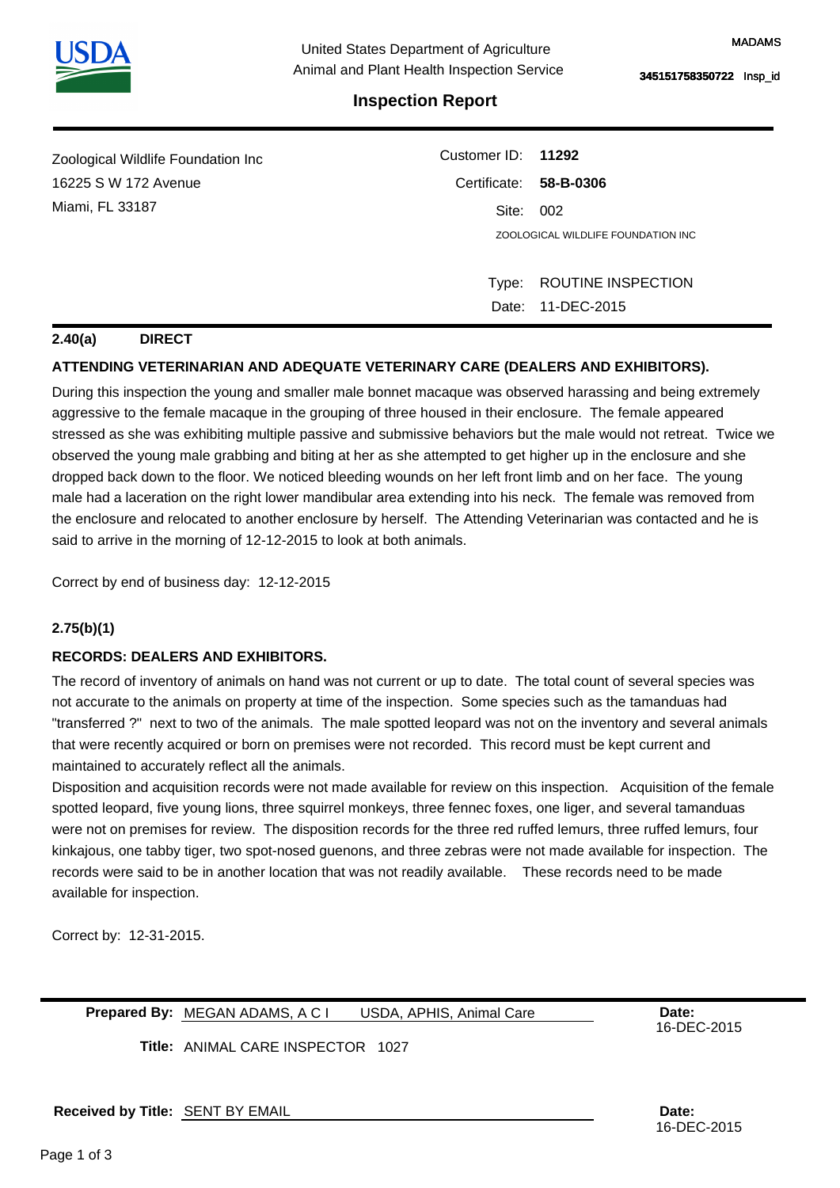

# **Inspection Report**

| Zoological Wildlife Foundation Inc | Customer ID: 11292     |                                    |  |
|------------------------------------|------------------------|------------------------------------|--|
| 16225 S W 172 Avenue               | Certificate: 58-B-0306 |                                    |  |
| Miami, FL 33187                    | Site:                  | - 002                              |  |
|                                    |                        | ZOOLOGICAL WILDLIFE FOUNDATION INC |  |
|                                    |                        |                                    |  |
|                                    | Type:                  | ROUTINE INSPECTION                 |  |
|                                    |                        | Date: 11-DEC-2015                  |  |

### **2.40(a) DIRECT**

# **ATTENDING VETERINARIAN AND ADEQUATE VETERINARY CARE (DEALERS AND EXHIBITORS).**

During this inspection the young and smaller male bonnet macaque was observed harassing and being extremely aggressive to the female macaque in the grouping of three housed in their enclosure. The female appeared stressed as she was exhibiting multiple passive and submissive behaviors but the male would not retreat. Twice we observed the young male grabbing and biting at her as she attempted to get higher up in the enclosure and she dropped back down to the floor. We noticed bleeding wounds on her left front limb and on her face. The young male had a laceration on the right lower mandibular area extending into his neck. The female was removed from the enclosure and relocated to another enclosure by herself. The Attending Veterinarian was contacted and he is said to arrive in the morning of 12-12-2015 to look at both animals.

Correct by end of business day: 12-12-2015

## **2.75(b)(1)**

## **RECORDS: DEALERS AND EXHIBITORS.**

The record of inventory of animals on hand was not current or up to date. The total count of several species was not accurate to the animals on property at time of the inspection. Some species such as the tamanduas had "transferred ?" next to two of the animals. The male spotted leopard was not on the inventory and several animals that were recently acquired or born on premises were not recorded. This record must be kept current and maintained to accurately reflect all the animals.

Disposition and acquisition records were not made available for review on this inspection. Acquisition of the female spotted leopard, five young lions, three squirrel monkeys, three fennec foxes, one liger, and several tamanduas were not on premises for review. The disposition records for the three red ruffed lemurs, three ruffed lemurs, four kinkajous, one tabby tiger, two spot-nosed guenons, and three zebras were not made available for inspection. The records were said to be in another location that was not readily available. These records need to be made available for inspection.

Correct by: 12-31-2015.

**Prepared By:** MEGAN ADAMS, A C I USDA, APHIS, Animal Care **Date:** Date: USDA, APHIS, Animal Care

16-DEC-2015

**Title:**  ANIMAL CARE INSPECTOR 1027

**Received by Title: Date:**  SENT BY EMAIL

16-DEC-2015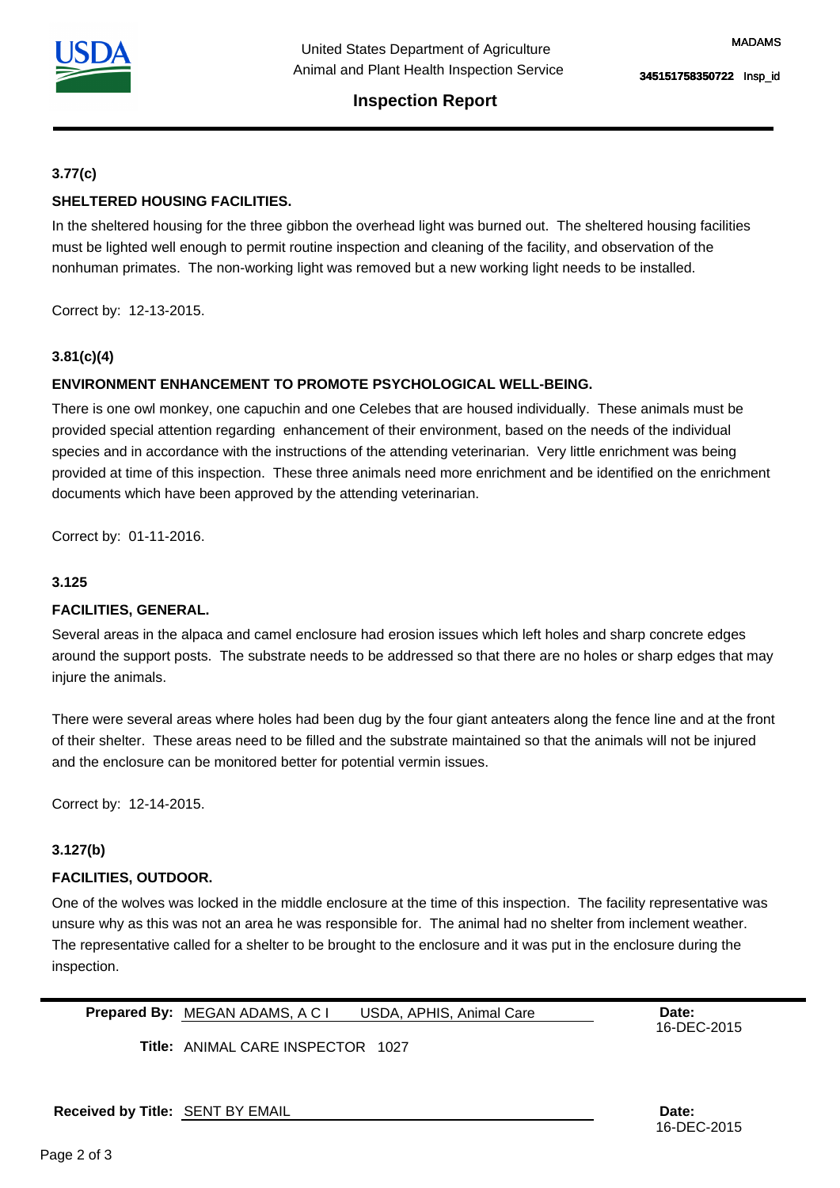

# **Inspection Report**

## **3.77(c)**

# **SHELTERED HOUSING FACILITIES.**

In the sheltered housing for the three gibbon the overhead light was burned out. The sheltered housing facilities must be lighted well enough to permit routine inspection and cleaning of the facility, and observation of the nonhuman primates. The non-working light was removed but a new working light needs to be installed.

Correct by: 12-13-2015.

## **3.81(c)(4)**

## **ENVIRONMENT ENHANCEMENT TO PROMOTE PSYCHOLOGICAL WELL-BEING.**

There is one owl monkey, one capuchin and one Celebes that are housed individually. These animals must be provided special attention regarding enhancement of their environment, based on the needs of the individual species and in accordance with the instructions of the attending veterinarian. Very little enrichment was being provided at time of this inspection. These three animals need more enrichment and be identified on the enrichment documents which have been approved by the attending veterinarian.

Correct by: 01-11-2016.

#### **3.125**

## **FACILITIES, GENERAL.**

Several areas in the alpaca and camel enclosure had erosion issues which left holes and sharp concrete edges around the support posts. The substrate needs to be addressed so that there are no holes or sharp edges that may injure the animals.

There were several areas where holes had been dug by the four giant anteaters along the fence line and at the front of their shelter. These areas need to be filled and the substrate maintained so that the animals will not be injured and the enclosure can be monitored better for potential vermin issues.

Correct by: 12-14-2015.

#### **3.127(b)**

#### **FACILITIES, OUTDOOR.**

One of the wolves was locked in the middle enclosure at the time of this inspection. The facility representative was unsure why as this was not an area he was responsible for. The animal had no shelter from inclement weather. The representative called for a shelter to be brought to the enclosure and it was put in the enclosure during the inspection.

**Prepared By:** MEGAN ADAMS, A C I USDA, APHIS, Animal Care **Date:** Date: USDA, APHIS, Animal Care

16-DEC-2015

**Title:**  ANIMAL CARE INSPECTOR 1027

**Received by Title: Date:**  SENT BY EMAIL

16-DEC-2015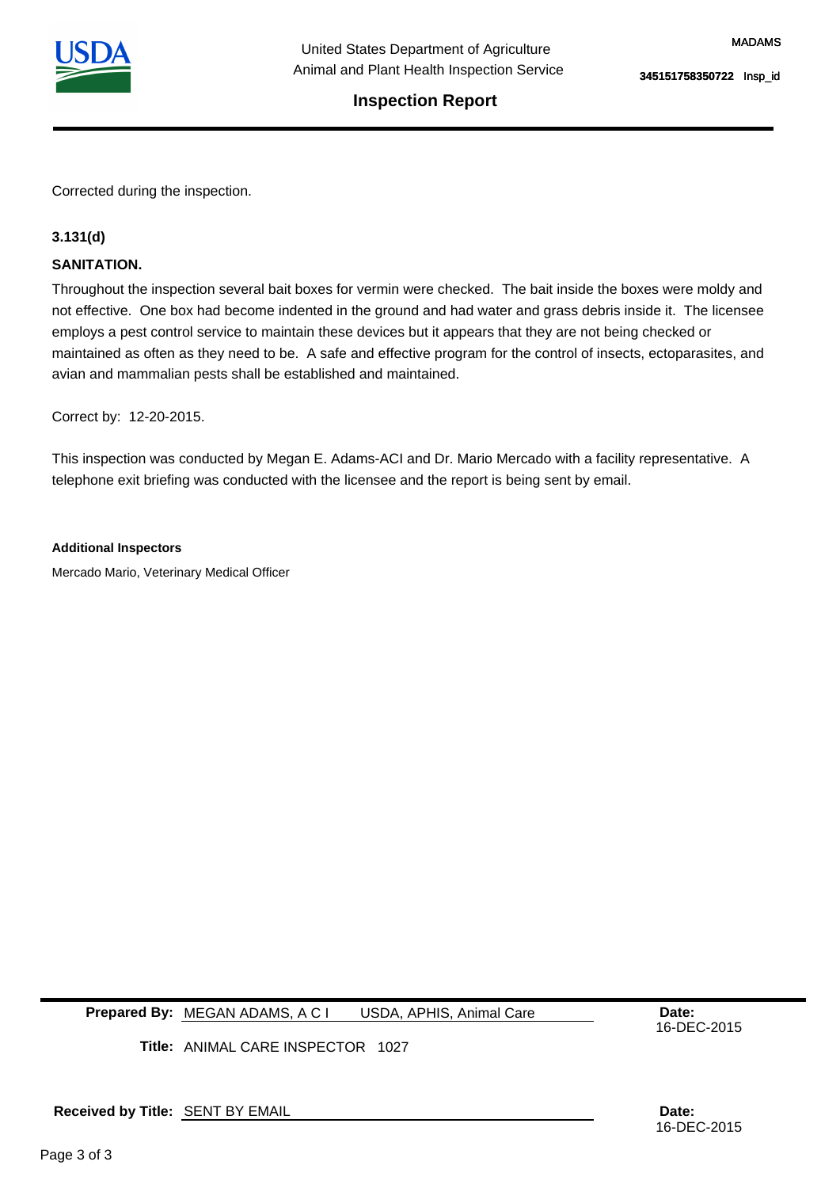

# **Inspection Report**

Corrected during the inspection.

## **3.131(d)**

#### **SANITATION.**

Throughout the inspection several bait boxes for vermin were checked. The bait inside the boxes were moldy and not effective. One box had become indented in the ground and had water and grass debris inside it. The licensee employs a pest control service to maintain these devices but it appears that they are not being checked or maintained as often as they need to be. A safe and effective program for the control of insects, ectoparasites, and avian and mammalian pests shall be established and maintained.

Correct by: 12-20-2015.

This inspection was conducted by Megan E. Adams-ACI and Dr. Mario Mercado with a facility representative. A telephone exit briefing was conducted with the licensee and the report is being sent by email.

#### **Additional Inspectors**

Mercado Mario, Veterinary Medical Officer

**Prepared By:** MEGAN ADAMS, A C I USDA, APHIS, Animal Care **Date:** Date: USDA, APHIS, Animal Care

16-DEC-2015

**Title:**  ANIMAL CARE INSPECTOR 1027

**Received by Title: Date:**  SENT BY EMAIL

16-DEC-2015